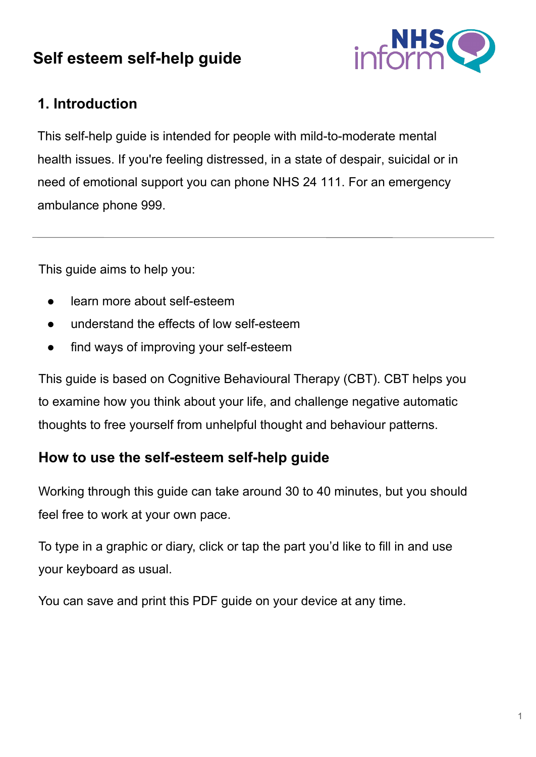# **Self esteem self-help guide**



## **1. Introduction**

This self-help guide is intended for people with mild-to-moderate mental health issues. If you're feeling distressed, in a state of despair, suicidal or in need of emotional support you can phone NHS 24 111. For an emergency ambulance phone 999.

This guide aims to help you:

- learn more about self-esteem
- understand the effects of low self-esteem
- find ways of improving your self-esteem

This guide is based on Cognitive Behavioural Therapy (CBT). CBT helps you to examine how you think about your life, and challenge negative automatic thoughts to free yourself from unhelpful thought and behaviour patterns.

## **How to use the self-esteem self-help guide**

Working through this guide can take around 30 to 40 minutes, but you should feel free to work at your own pace.

To type in a graphic or diary, click or tap the part you'd like to fill in and use your keyboard as usual.

You can save and print this PDF guide on your device at any time.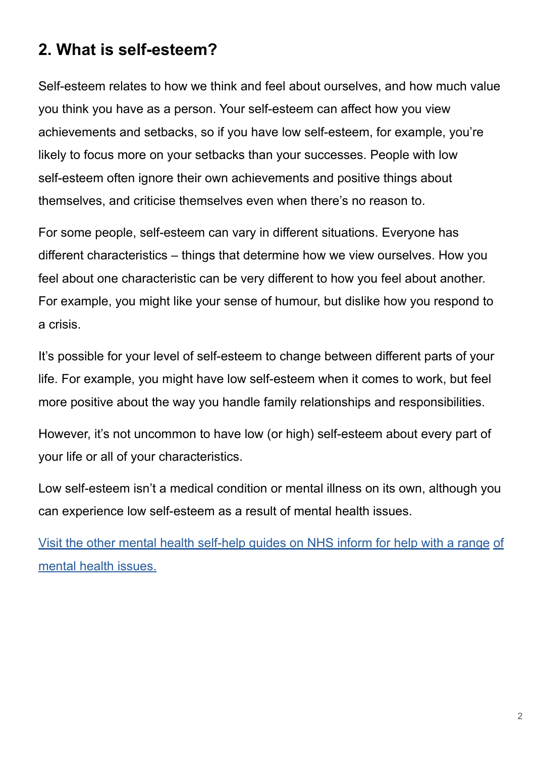# **2. What is self-esteem?**

Self-esteem relates to how we think and feel about ourselves, and how much value you think you have as a person. Your self-esteem can affect how you view achievements and setbacks, so if you have low self-esteem, for example, you're likely to focus more on your setbacks than your successes. People with low self-esteem often ignore their own achievements and positive things about themselves, and criticise themselves even when there's no reason to.

For some people, self-esteem can vary in different situations. Everyone has different characteristics – things that determine how we view ourselves. How you feel about one characteristic can be very different to how you feel about another. For example, you might like your sense of humour, but dislike how you respond to a crisis.

It's possible for your level of self-esteem to change between different parts of your life. For example, you might have low self-esteem when it comes to work, but feel more positive about the way you handle family relationships and responsibilities.

However, it's not uncommon to have low (or high) self-esteem about every part of your life or all of your characteristics.

Low self-esteem isn't a medical condition or mental illness on its own, although you can experience low self-esteem as a result of mental health issues.

[Visit the other mental health self-help guides on NHS inform for help with a range](https://www.nhsinform.scot/illnesses-and-conditions/mental-health#mental-health-self-help-guides) [of](https://www.nhsinform.scot/illnesses-and-conditions/mental-health#mental-health-self-help-guides)  [mental health issues.](https://www.nhsinform.scot/illnesses-and-conditions/mental-health#mental-health-self-help-guides)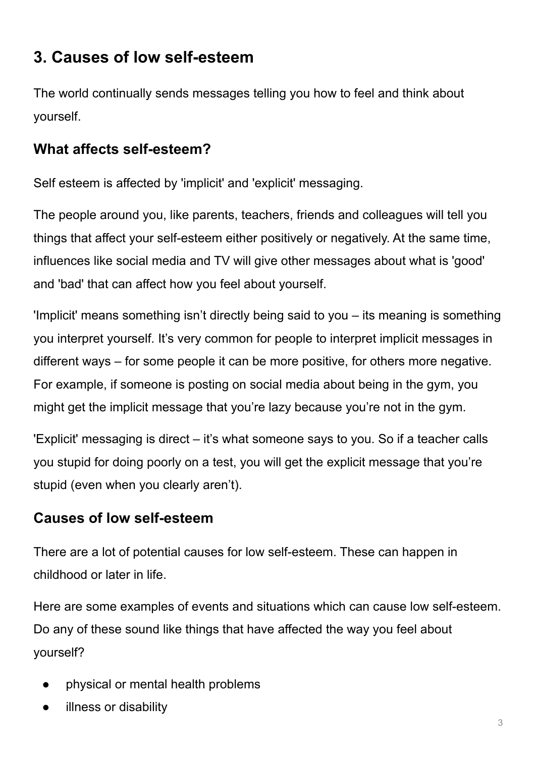# **3. Causes of low self-esteem**

The world continually sends messages telling you how to feel and think about yourself.

## **What affects self-esteem?**

Self esteem is affected by 'implicit' and 'explicit' messaging.

The people around you, like parents, teachers, friends and colleagues will tell you things that affect your self-esteem either positively or negatively. At the same time, influences like social media and TV will give other messages about what is 'good' and 'bad' that can affect how you feel about yourself.

'Implicit' means something isn't directly being said to you – its meaning is something you interpret yourself. It's very common for people to interpret implicit messages in different ways – for some people it can be more positive, for others more negative. For example, if someone is posting on social media about being in the gym, you might get the implicit message that you're lazy because you're not in the gym.

'Explicit' messaging is direct – it's what someone says to you. So if a teacher calls you stupid for doing poorly on a test, you will get the explicit message that you're stupid (even when you clearly aren't).

## **Causes of low self-esteem**

There are a lot of potential causes for low self-esteem. These can happen in childhood or later in life.

Here are some examples of events and situations which can cause low self-esteem. Do any of these sound like things that have affected the way you feel about yourself?

- physical or mental health problems
- illness or disability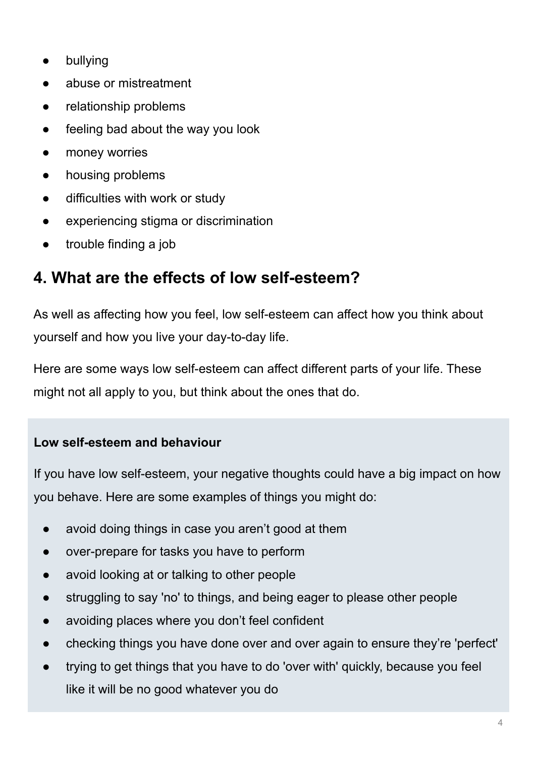- bullying
- abuse or mistreatment
- relationship problems
- feeling bad about the way you look
- money worries
- housing problems
- difficulties with work or study
- experiencing stigma or discrimination
- trouble finding a job

# **4. What are the effects of low self-esteem?**

As well as affecting how you feel, low self-esteem can affect how you think about yourself and how you live your day-to-day life.

Here are some ways low self-esteem can affect different parts of your life. These might not all apply to you, but think about the ones that do.

#### **Low self-esteem and behaviour**

If you have low self-esteem, your negative thoughts could have a big impact on how you behave. Here are some examples of things you might do:

- avoid doing things in case you aren't good at them
- over-prepare for tasks you have to perform
- avoid looking at or talking to other people
- struggling to say 'no' to things, and being eager to please other people
- avoiding places where you don't feel confident
- checking things you have done over and over again to ensure they're 'perfect'
- trying to get things that you have to do 'over with' quickly, because you feel like it will be no good whatever you do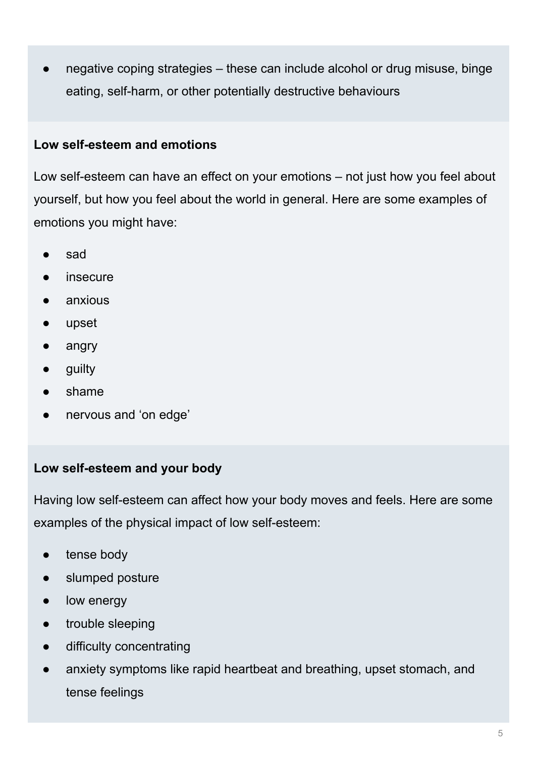● negative coping strategies – these can include alcohol or drug misuse, binge eating, self-harm, or other potentially destructive behaviours

#### **Low self-esteem and emotions**

Low self-esteem can have an effect on your emotions – not just how you feel about yourself, but how you feel about the world in general. Here are some examples of emotions you might have:

- sad
- insecure
- anxious
- upset
- angry
- guilty
- shame
- nervous and 'on edge'

#### **Low self-esteem and your body**

Having low self-esteem can affect how your body moves and feels. Here are some examples of the physical impact of low self-esteem:

- tense body
- slumped posture
- low energy
- trouble sleeping
- difficulty concentrating
- anxiety symptoms like rapid heartbeat and breathing, upset stomach, and tense feelings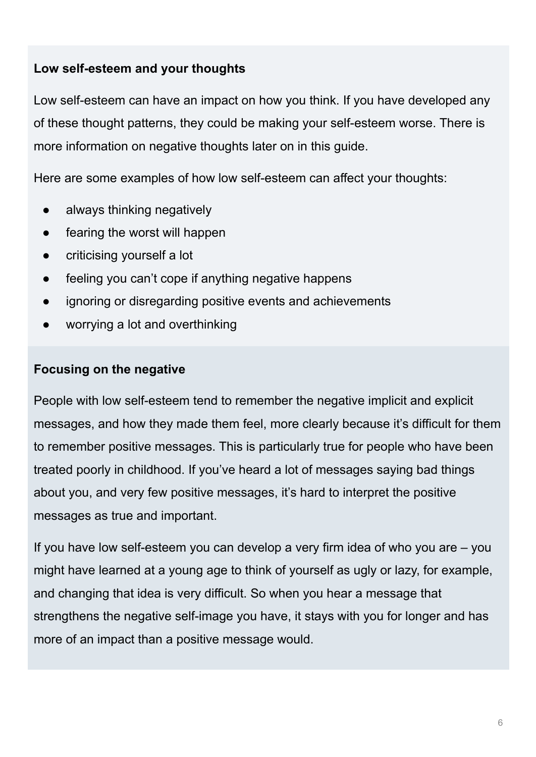#### **Low self-esteem and your thoughts**

Low self-esteem can have an impact on how you think. If you have developed any of these thought patterns, they could be making your self-esteem worse. There is more information on negative thoughts later on in this guide.

Here are some examples of how low self-esteem can affect your thoughts:

- always thinking negatively
- fearing the worst will happen
- criticising yourself a lot
- feeling you can't cope if anything negative happens
- ignoring or disregarding positive events and achievements
- worrying a lot and overthinking

#### **Focusing on the negative**

People with low self-esteem tend to remember the negative implicit and explicit messages, and how they made them feel, more clearly because it's difficult for them to remember positive messages. This is particularly true for people who have been treated poorly in childhood. If you've heard a lot of messages saying bad things about you, and very few positive messages, it's hard to interpret the positive messages as true and important.

If you have low self-esteem you can develop a very firm idea of who you are – you might have learned at a young age to think of yourself as ugly or lazy, for example, and changing that idea is very difficult. So when you hear a message that strengthens the negative self-image you have, it stays with you for longer and has more of an impact than a positive message would.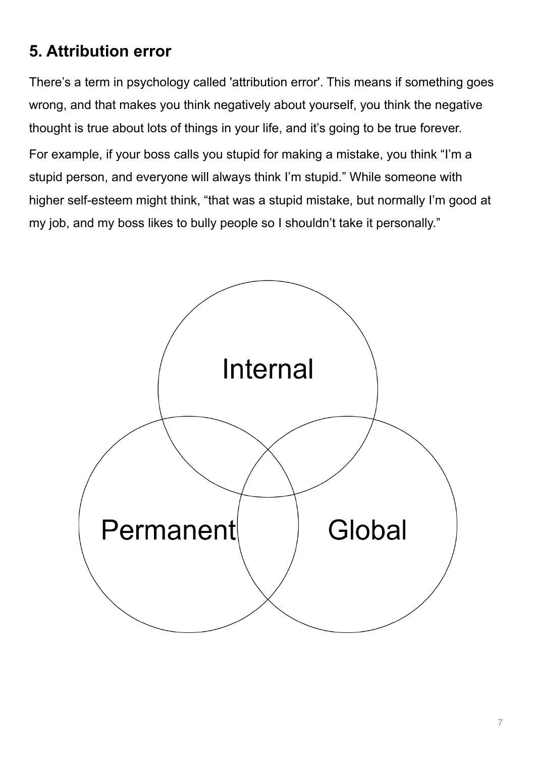# **5. Attribution error**

There's a term in psychology called 'attribution error'. This means if something goes wrong, and that makes you think negatively about yourself, you think the negative thought is true about lots of things in your life, and it's going to be true forever. For example, if your boss calls you stupid for making a mistake, you think "I'm a stupid person, and everyone will always think I'm stupid." While someone with higher self-esteem might think, "that was a stupid mistake, but normally I'm good at my job, and my boss likes to bully people so I shouldn't take it personally."

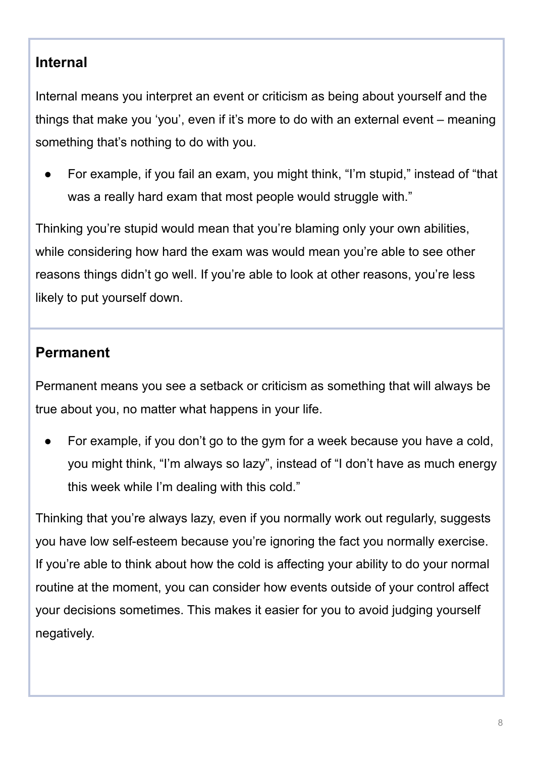## **Internal**

Internal means you interpret an event or criticism as being about yourself and the things that make you 'you', even if it's more to do with an external event – meaning something that's nothing to do with you.

For example, if you fail an exam, you might think, "I'm stupid," instead of "that was a really hard exam that most people would struggle with."

Thinking you're stupid would mean that you're blaming only your own abilities, while considering how hard the exam was would mean you're able to see other reasons things didn't go well. If you're able to look at other reasons, you're less likely to put yourself down.

### **Permanent**

Permanent means you see a setback or criticism as something that will always be true about you, no matter what happens in your life.

For example, if you don't go to the gym for a week because you have a cold, you might think, "I'm always so lazy", instead of "I don't have as much energy this week while I'm dealing with this cold."

Thinking that you're always lazy, even if you normally work out regularly, suggests you have low self-esteem because you're ignoring the fact you normally exercise. If you're able to think about how the cold is affecting your ability to do your normal routine at the moment, you can consider how events outside of your control affect your decisions sometimes. This makes it easier for you to avoid judging yourself negatively.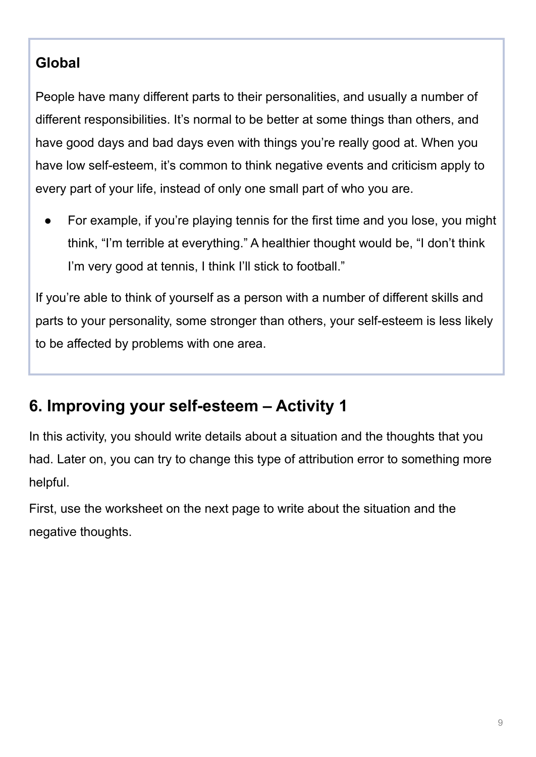## **Global**

People have many different parts to their personalities, and usually a number of different responsibilities. It's normal to be better at some things than others, and have good days and bad days even with things you're really good at. When you have low self-esteem, it's common to think negative events and criticism apply to every part of your life, instead of only one small part of who you are.

For example, if you're playing tennis for the first time and you lose, you might think, "I'm terrible at everything." A healthier thought would be, "I don't think I'm very good at tennis, I think I'll stick to football."

If you're able to think of yourself as a person with a number of different skills and parts to your personality, some stronger than others, your self-esteem is less likely to be affected by problems with one area.

# **6. Improving your self-esteem – Activity 1**

In this activity, you should write details about a situation and the thoughts that you had. Later on, you can try to change this type of attribution error to something more helpful.

First, use the worksheet on the next page to write about the situation and the negative thoughts.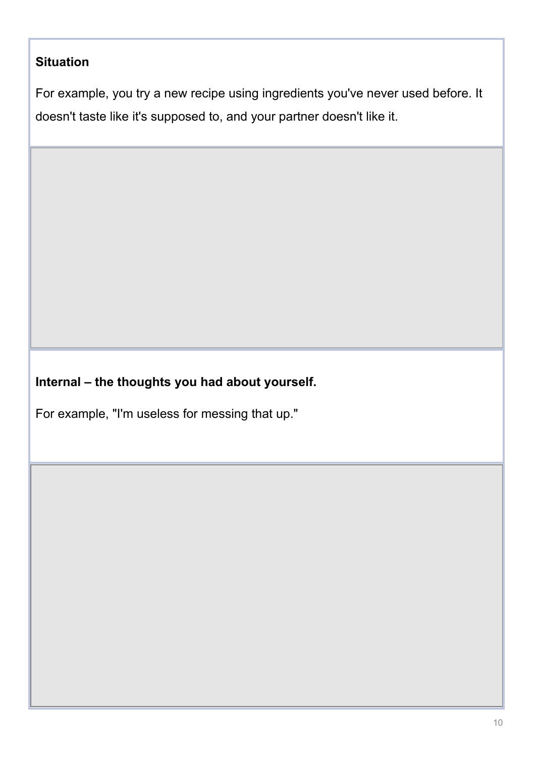### **Situation**

For example, you try a new recipe using ingredients you've never used before. It doesn't taste like it's supposed to, and your partner doesn't like it.

### **Internal – the thoughts you had about yourself.**

For example, "I'm useless for messing that up."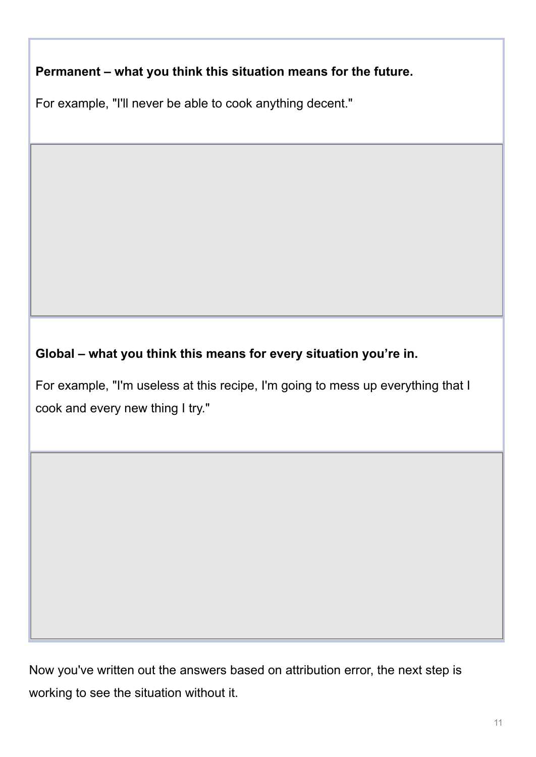**Permanent – what you think this situation means for the future.**

For example, "I'll never be able to cook anything decent."

**Global – what you think this means for every situation you're in.**

For example, "I'm useless at this recipe, I'm going to mess up everything that I cook and every new thing I try."

Now you've written out the answers based on attribution error, the next step is working to see the situation without it.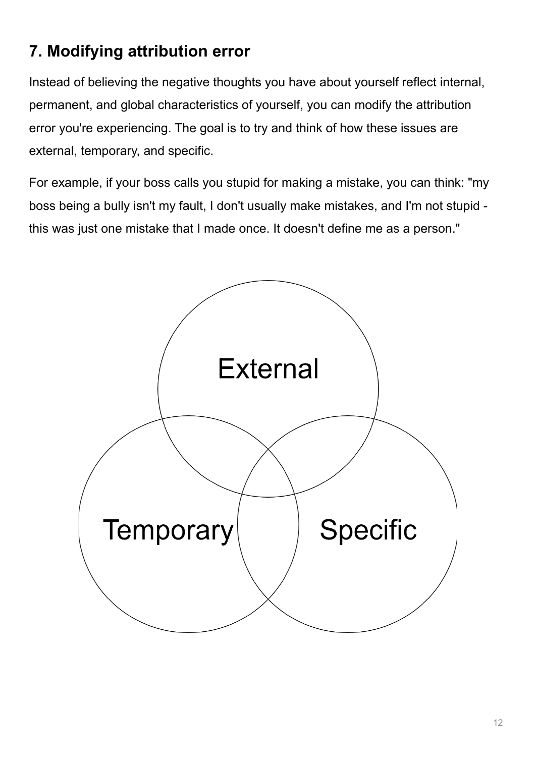# **7. Modifying attribution error**

Instead of believing the negative thoughts you have about yourself reflect internal, permanent, and global characteristics of yourself, you can modify the attribution error you're experiencing. The goal is to try and think of how these issues are external, temporary, and specific.

For example, if your boss calls you stupid for making a mistake, you can think: "my boss being a bully isn't my fault, I don't usually make mistakes, and I'm not stupid this was just one mistake that I made once. It doesn't define me as a person."

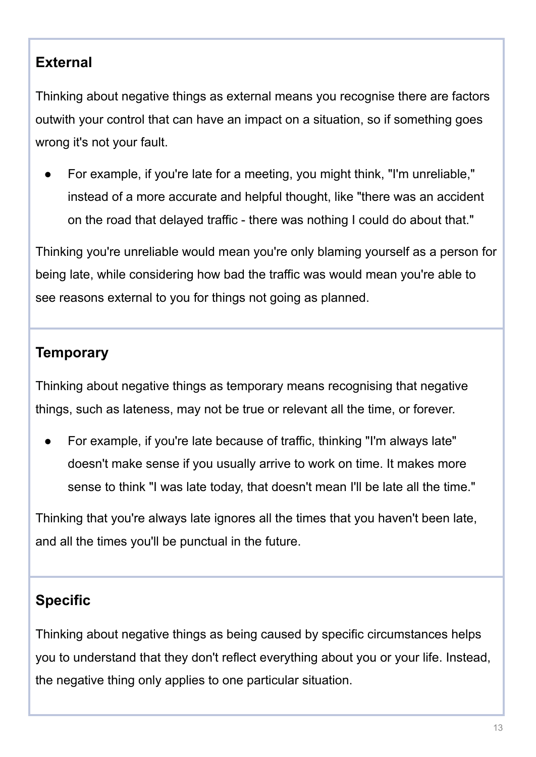## **External**

Thinking about negative things as external means you recognise there are factors outwith your control that can have an impact on a situation, so if something goes wrong it's not your fault.

For example, if you're late for a meeting, you might think, "I'm unreliable," instead of a more accurate and helpful thought, like "there was an accident on the road that delayed traffic - there was nothing I could do about that."

Thinking you're unreliable would mean you're only blaming yourself as a person for being late, while considering how bad the traffic was would mean you're able to see reasons external to you for things not going as planned.

## **Temporary**

Thinking about negative things as temporary means recognising that negative things, such as lateness, may not be true or relevant all the time, or forever.

For example, if you're late because of traffic, thinking "I'm always late" doesn't make sense if you usually arrive to work on time. It makes more sense to think "I was late today, that doesn't mean I'll be late all the time."

Thinking that you're always late ignores all the times that you haven't been late, and all the times you'll be punctual in the future.

# **Specific**

Thinking about negative things as being caused by specific circumstances helps you to understand that they don't reflect everything about you or your life. Instead, the negative thing only applies to one particular situation.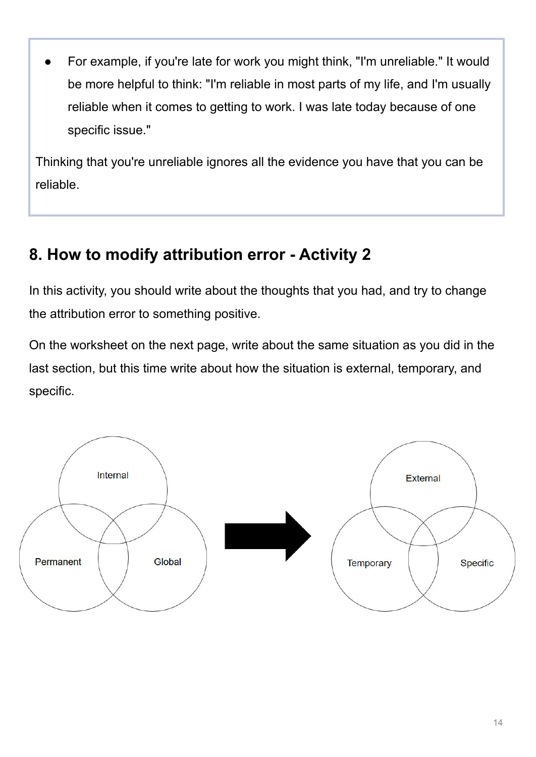For example, if you're late for work you might think, "I'm unreliable." It would be more helpful to think: "I'm reliable in most parts of my life, and I'm usually reliable when it comes to getting to work. I was late today because of one specific issue."

Thinking that you're unreliable ignores all the evidence you have that you can be reliable.

# **8. How to modify attribution error - Activity 2**

In this activity, you should write about the thoughts that you had, and try to change the attribution error to something positive.

On the worksheet on the next page, write about the same situation as you did in the last section, but this time write about how the situation is external, temporary, and specific.

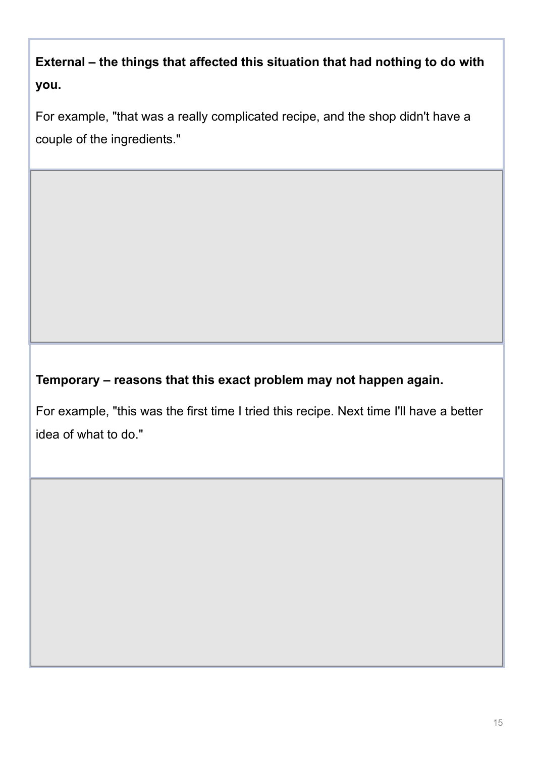**External – the things that affected this situation that had nothing to do with you.**

For example, "that was a really complicated recipe, and the shop didn't have a couple of the ingredients."

**Temporary – reasons that this exact problem may not happen again.**

For example, "this was the first time I tried this recipe. Next time I'll have a better idea of what to do."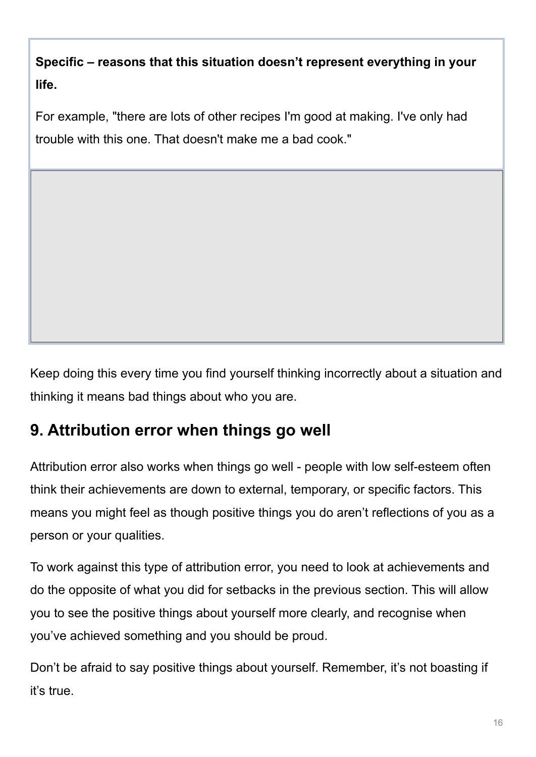**Specific – reasons that this situation doesn't represent everything in your life.**

For example, "there are lots of other recipes I'm good at making. I've only had trouble with this one. That doesn't make me a bad cook."

Keep doing this every time you find yourself thinking incorrectly about a situation and thinking it means bad things about who you are.

# **9. Attribution error when things go well**

Attribution error also works when things go well - people with low self-esteem often think their achievements are down to external, temporary, or specific factors. This means you might feel as though positive things you do aren't reflections of you as a person or your qualities.

To work against this type of attribution error, you need to look at achievements and do the opposite of what you did for setbacks in the previous section. This will allow you to see the positive things about yourself more clearly, and recognise when you've achieved something and you should be proud.

Don't be afraid to say positive things about yourself. Remember, it's not boasting if it's true.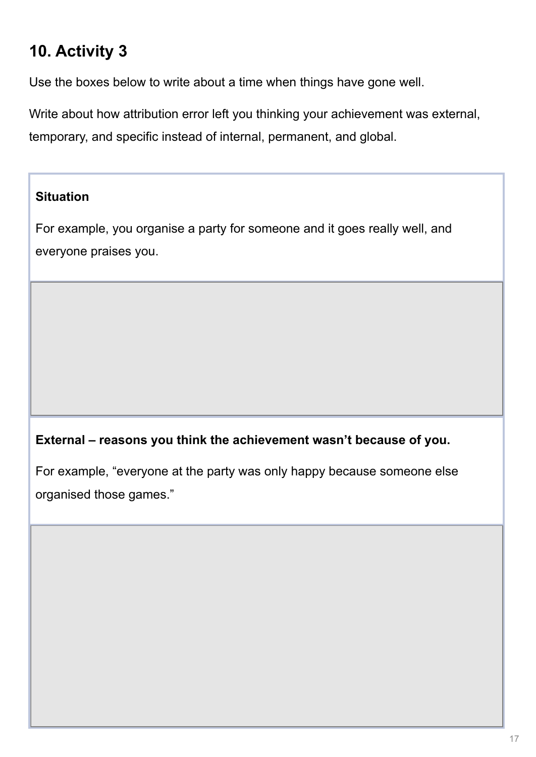# **10. Activity 3**

Use the boxes below to write about a time when things have gone well.

Write about how attribution error left you thinking your achievement was external, temporary, and specific instead of internal, permanent, and global.

#### **Situation**

For example, you organise a party for someone and it goes really well, and everyone praises you.

#### **External – reasons you think the achievement wasn't because of you.**

For example, "everyone at the party was only happy because someone else organised those games."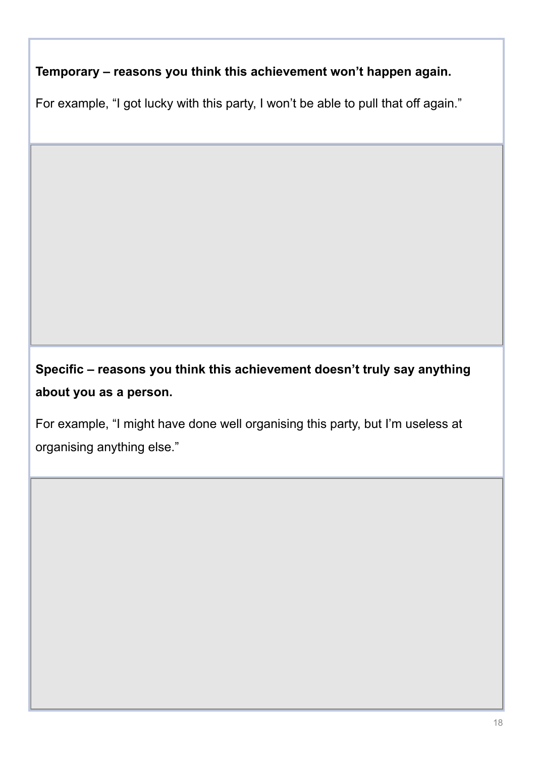**Temporary – reasons you think this achievement won't happen again.**

For example, "I got lucky with this party, I won't be able to pull that off again."

**Specific – reasons you think this achievement doesn't truly say anything about you as a person.**

For example, "I might have done well organising this party, but I'm useless at organising anything else."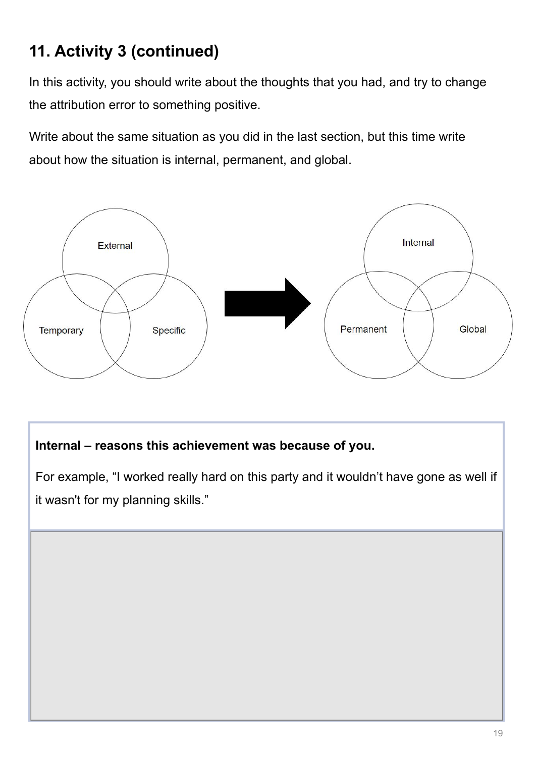# **11. Activity 3 (continued)**

In this activity, you should write about the thoughts that you had, and try to change the attribution error to something positive.

Write about the same situation as you did in the last section, but this time write about how the situation is internal, permanent, and global.



#### **Internal – reasons this achievement was because of you.**

For example, "I worked really hard on this party and it wouldn't have gone as well if it wasn't for my planning skills."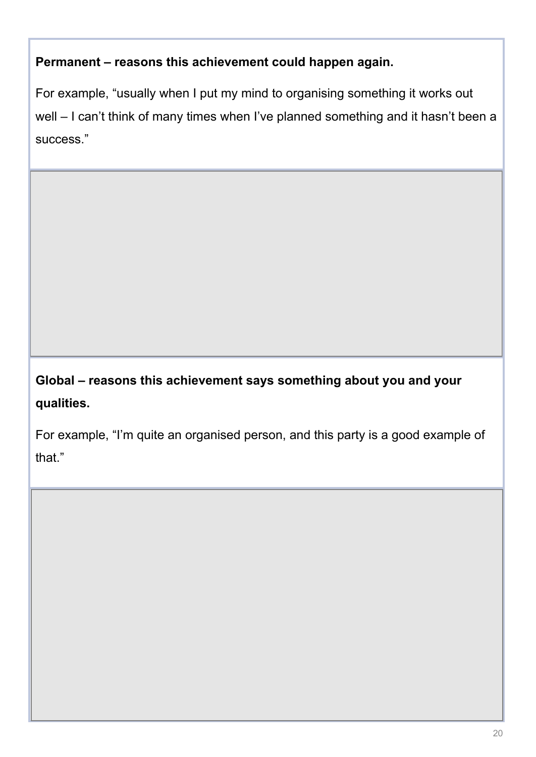#### **Permanent – reasons this achievement could happen again.**

For example, "usually when I put my mind to organising something it works out well – I can't think of many times when I've planned something and it hasn't been a success."

# **Global – reasons this achievement says something about you and your qualities.**

For example, "I'm quite an organised person, and this party is a good example of that."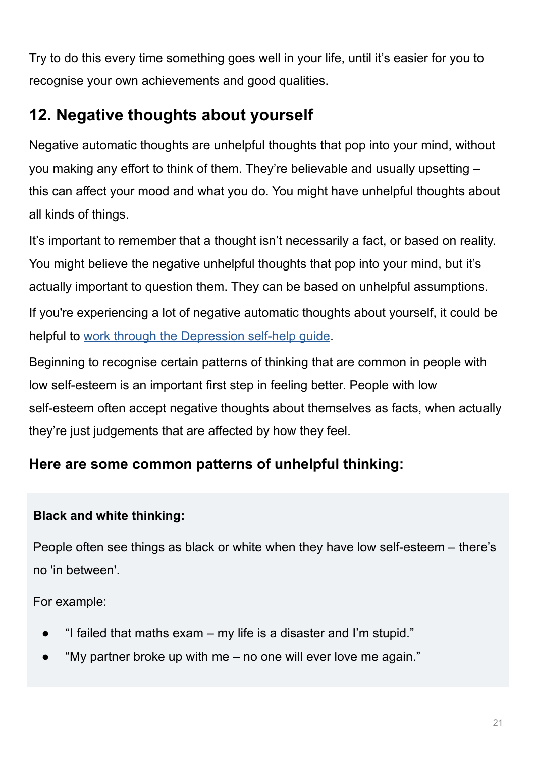Try to do this every time something goes well in your life, until it's easier for you to recognise your own achievements and good qualities.

# **12. Negative thoughts about yourself**

Negative automatic thoughts are unhelpful thoughts that pop into your mind, without you making any effort to think of them. They're believable and usually upsetting – this can affect your mood and what you do. You might have unhelpful thoughts about all kinds of things.

It's important to remember that a thought isn't necessarily a fact, or based on reality. You might believe the negative unhelpful thoughts that pop into your mind, but it's actually important to question them. They can be based on unhelpful assumptions.

If you're experiencing a lot of negative automatic thoughts about yourself, it could be helpful to [work through the Depression self-help guide.](https://www.nhsinform.scot/illnesses-and-conditions/mental-health/mental-health-self-help-guides/depression-self-help-guide)

Beginning to recognise certain patterns of thinking that are common in people with low self-esteem is an important first step in feeling better. People with low self-esteem often accept negative thoughts about themselves as facts, when actually they're just judgements that are affected by how they feel.

# **Here are some common patterns of unhelpful thinking:**

## **Black and white thinking:**

People often see things as black or white when they have low self-esteem – there's no 'in between'.

For example:

- $\bullet$  "I failed that maths exam my life is a disaster and I'm stupid."
- "My partner broke up with me  $-$  no one will ever love me again."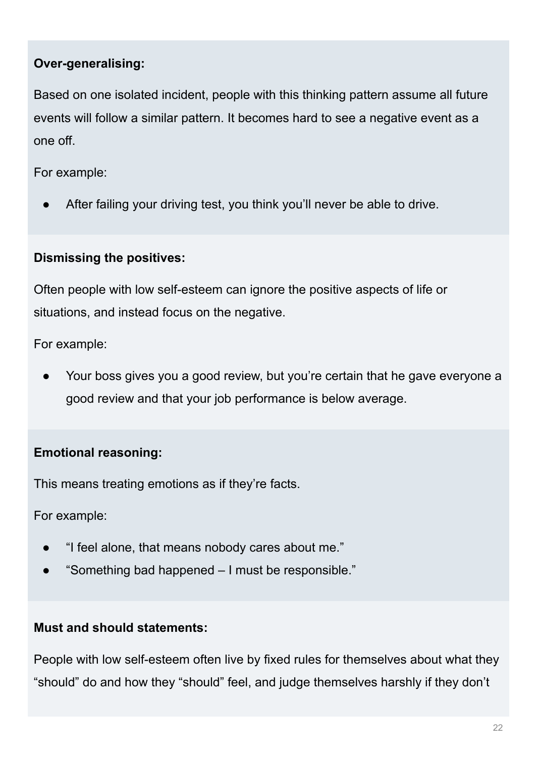#### **Over-generalising:**

Based on one isolated incident, people with this thinking pattern assume all future events will follow a similar pattern. It becomes hard to see a negative event as a one off.

For example:

After failing your driving test, you think you'll never be able to drive.

### **Dismissing the positives:**

Often people with low self-esteem can ignore the positive aspects of life or situations, and instead focus on the negative.

For example:

Your boss gives you a good review, but you're certain that he gave everyone a good review and that your job performance is below average.

### **Emotional reasoning:**

This means treating emotions as if they're facts.

For example:

- "I feel alone, that means nobody cares about me."
- "Something bad happened  $-1$  must be responsible."

#### **Must and should statements:**

People with low self-esteem often live by fixed rules for themselves about what they "should" do and how they "should" feel, and judge themselves harshly if they don't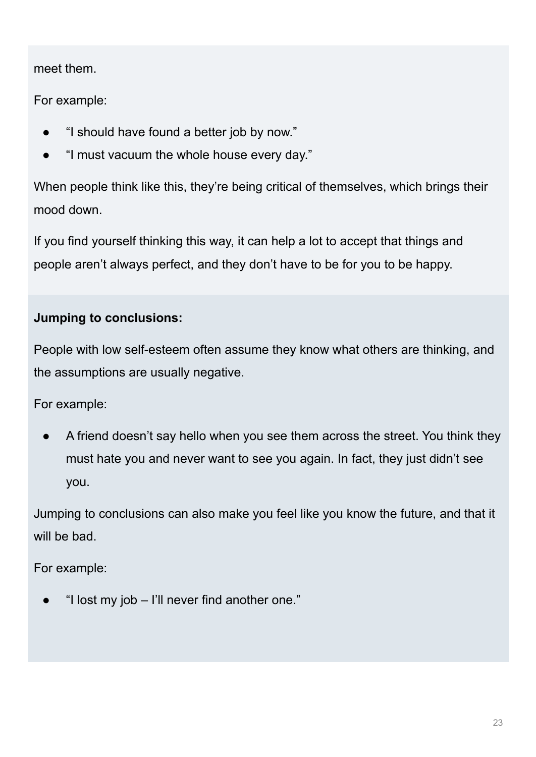meet them.

For example:

- "I should have found a better job by now."
- "I must vacuum the whole house every day."

When people think like this, they're being critical of themselves, which brings their mood down.

If you find yourself thinking this way, it can help a lot to accept that things and people aren't always perfect, and they don't have to be for you to be happy.

## **Jumping to conclusions:**

People with low self-esteem often assume they know what others are thinking, and the assumptions are usually negative.

For example:

A friend doesn't say hello when you see them across the street. You think they must hate you and never want to see you again. In fact, they just didn't see you.

Jumping to conclusions can also make you feel like you know the future, and that it will be bad.

For example:

"I lost my job  $-$  I'll never find another one."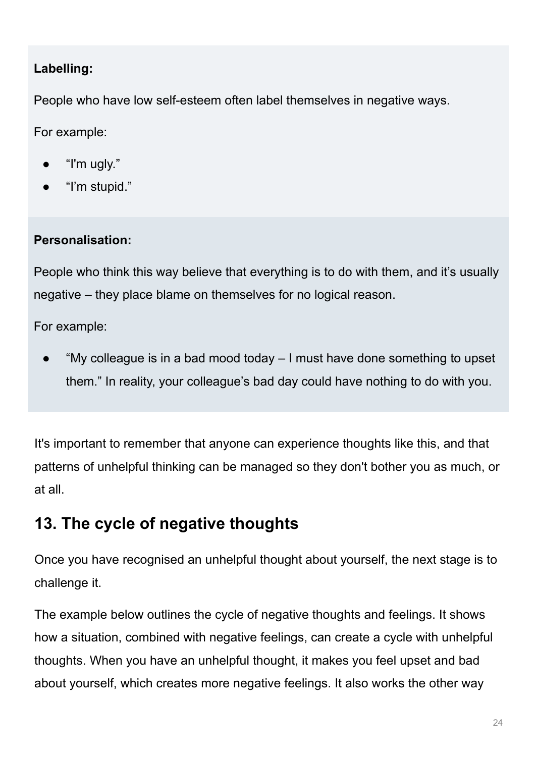### **Labelling:**

People who have low self-esteem often label themselves in negative ways.

For example:

- "I'm ugly."
- "I'm stupid."

#### **Personalisation:**

People who think this way believe that everything is to do with them, and it's usually negative – they place blame on themselves for no logical reason.

For example:

"My colleague is in a bad mood today  $-1$  must have done something to upset them." In reality, your colleague's bad day could have nothing to do with you.

It's important to remember that anyone can experience thoughts like this, and that patterns of unhelpful thinking can be managed so they don't bother you as much, or at all.

# **13. The cycle of negative thoughts**

Once you have recognised an unhelpful thought about yourself, the next stage is to challenge it.

The example below outlines the cycle of negative thoughts and feelings. It shows how a situation, combined with negative feelings, can create a cycle with unhelpful thoughts. When you have an unhelpful thought, it makes you feel upset and bad about yourself, which creates more negative feelings. It also works the other way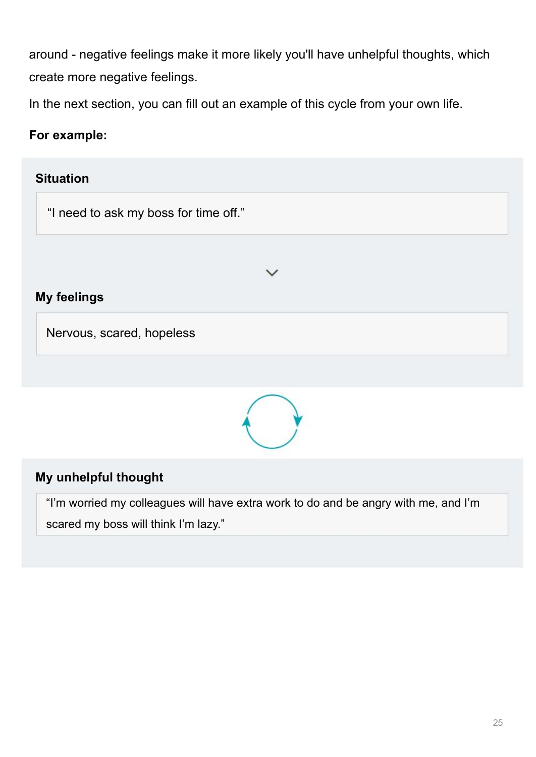around - negative feelings make it more likely you'll have unhelpful thoughts, which create more negative feelings.

In the next section, you can fill out an example of this cycle from your own life.

#### **For example:**





#### **My unhelpful thought**

"I'm worried my colleagues will have extra work to do and be angry with me, and I'm scared my boss will think I'm lazy."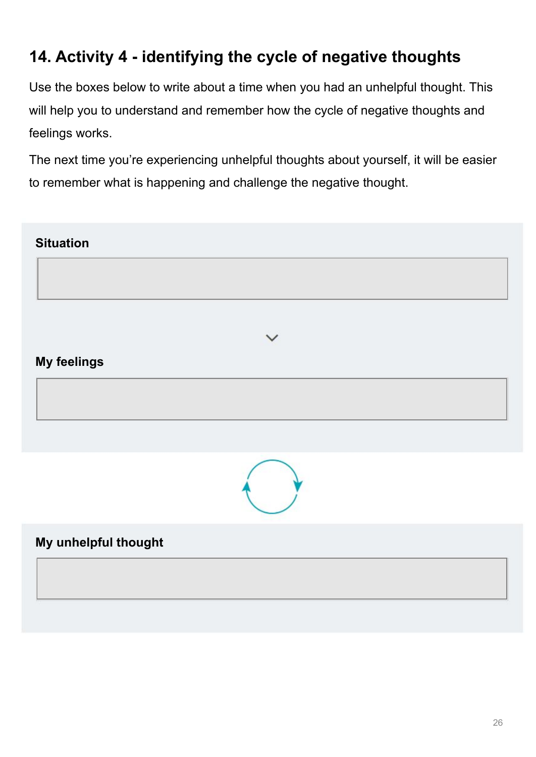# **14. Activity 4 - identifying the cycle of negative thoughts**

Use the boxes below to write about a time when you had an unhelpful thought. This will help you to understand and remember how the cycle of negative thoughts and feelings works.

The next time you're experiencing unhelpful thoughts about yourself, it will be easier to remember what is happening and challenge the negative thought.

| <b>Situation</b>     |              |  |
|----------------------|--------------|--|
|                      |              |  |
|                      |              |  |
|                      | $\checkmark$ |  |
| <b>My feelings</b>   |              |  |
|                      |              |  |
|                      |              |  |
|                      |              |  |
| My unhelpful thought |              |  |
|                      |              |  |
|                      |              |  |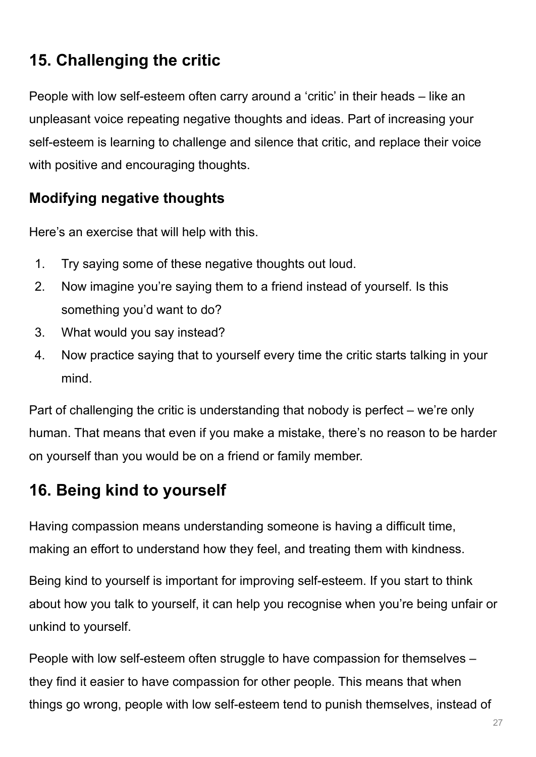# **15. Challenging the critic**

People with low self-esteem often carry around a 'critic' in their heads – like an unpleasant voice repeating negative thoughts and ideas. Part of increasing your self-esteem is learning to challenge and silence that critic, and replace their voice with positive and encouraging thoughts.

## **Modifying negative thoughts**

Here's an exercise that will help with this.

- 1. Try saying some of these negative thoughts out loud.
- 2. Now imagine you're saying them to a friend instead of yourself. Is this something you'd want to do?
- 3. What would you say instead?
- 4. Now practice saying that to yourself every time the critic starts talking in your mind.

Part of challenging the critic is understanding that nobody is perfect – we're only human. That means that even if you make a mistake, there's no reason to be harder on yourself than you would be on a friend or family member.

# **16. Being kind to yourself**

Having compassion means understanding someone is having a difficult time, making an effort to understand how they feel, and treating them with kindness.

Being kind to yourself is important for improving self-esteem. If you start to think about how you talk to yourself, it can help you recognise when you're being unfair or unkind to yourself.

People with low self-esteem often struggle to have compassion for themselves – they find it easier to have compassion for other people. This means that when things go wrong, people with low self-esteem tend to punish themselves, instead of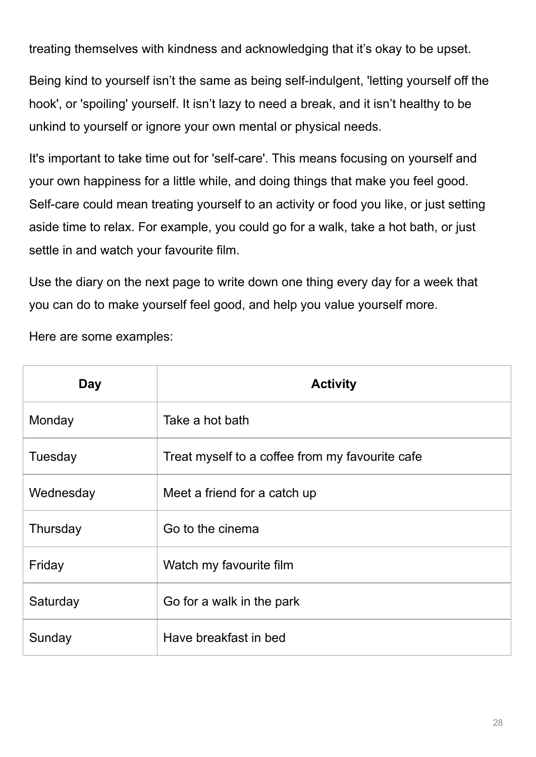treating themselves with kindness and acknowledging that it's okay to be upset.

Being kind to yourself isn't the same as being self-indulgent, 'letting yourself off the hook', or 'spoiling' yourself. It isn't lazy to need a break, and it isn't healthy to be unkind to yourself or ignore your own mental or physical needs.

It's important to take time out for 'self-care'. This means focusing on yourself and your own happiness for a little while, and doing things that make you feel good. Self-care could mean treating yourself to an activity or food you like, or just setting aside time to relax. For example, you could go for a walk, take a hot bath, or just settle in and watch your favourite film.

Use the diary on the next page to write down one thing every day for a week that you can do to make yourself feel good, and help you value yourself more.

Here are some examples:

| <b>Day</b> | <b>Activity</b>                                 |
|------------|-------------------------------------------------|
| Monday     | Take a hot bath                                 |
| Tuesday    | Treat myself to a coffee from my favourite cafe |
| Wednesday  | Meet a friend for a catch up                    |
| Thursday   | Go to the cinema                                |
| Friday     | Watch my favourite film                         |
| Saturday   | Go for a walk in the park                       |
| Sunday     | Have breakfast in bed                           |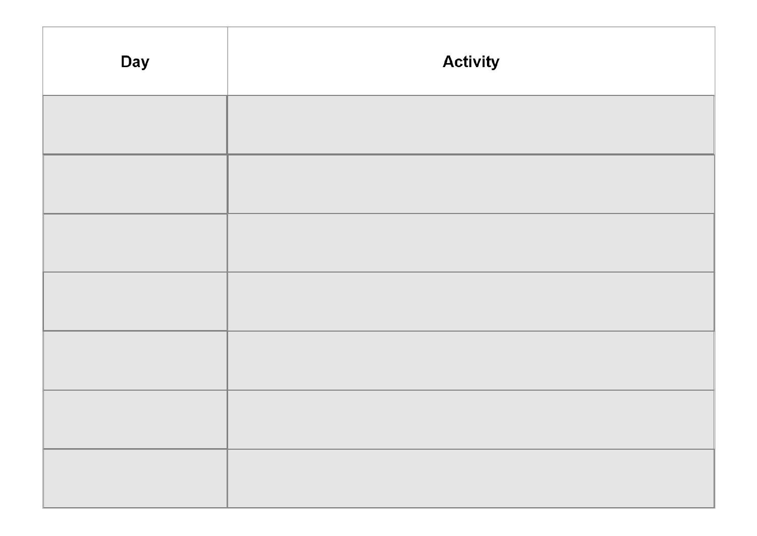| <b>Day</b> | <b>Activity</b> |  |
|------------|-----------------|--|
|            |                 |  |
|            |                 |  |
|            |                 |  |
|            |                 |  |
|            |                 |  |
|            |                 |  |
|            |                 |  |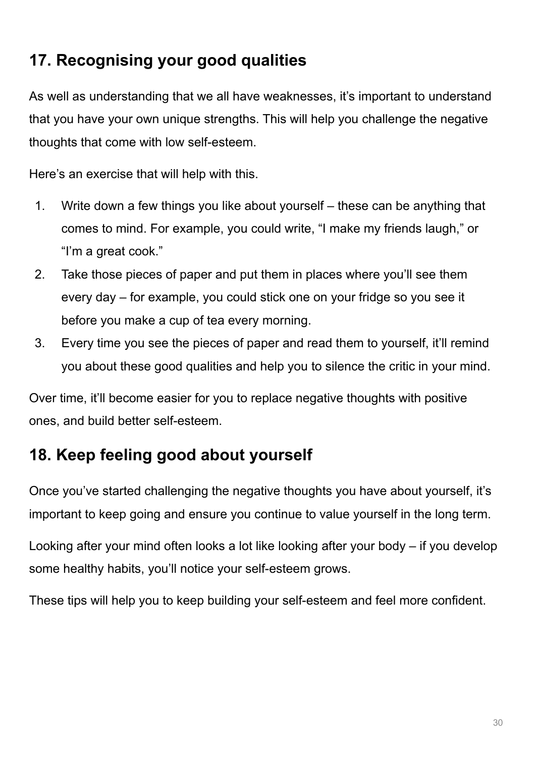# **17. Recognising your good qualities**

As well as understanding that we all have weaknesses, it's important to understand that you have your own unique strengths. This will help you challenge the negative thoughts that come with low self-esteem.

Here's an exercise that will help with this.

- 1. Write down a few things you like about yourself these can be anything that comes to mind. For example, you could write, "I make my friends laugh," or "I'm a great cook."
- 2. Take those pieces of paper and put them in places where you'll see them every day – for example, you could stick one on your fridge so you see it before you make a cup of tea every morning.
- 3. Every time you see the pieces of paper and read them to yourself, it'll remind you about these good qualities and help you to silence the critic in your mind.

Over time, it'll become easier for you to replace negative thoughts with positive ones, and build better self-esteem.

# **18. Keep feeling good about yourself**

Once you've started challenging the negative thoughts you have about yourself, it's important to keep going and ensure you continue to value yourself in the long term.

Looking after your mind often looks a lot like looking after your body – if you develop some healthy habits, you'll notice your self-esteem grows.

These tips will help you to keep building your self-esteem and feel more confident.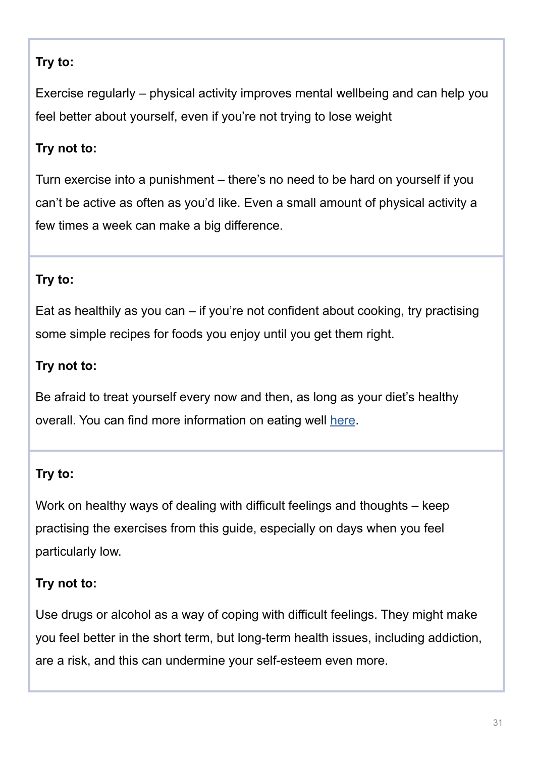### **Try to:**

Exercise regularly – physical activity improves mental wellbeing and can help you feel better about yourself, even if you're not trying to lose weight

### **Try not to:**

Turn exercise into a punishment – there's no need to be hard on yourself if you can't be active as often as you'd like. Even a small amount of physical activity a few times a week can make a big difference.

#### **Try to:**

Eat as healthily as you can – if you're not confident about cooking, try practising some simple recipes for foods you enjoy until you get them right.

#### **Try not to:**

Be afraid to treat yourself every now and then, as long as your diet's healthy overall. You can find more information on eating well [here.](https://www.nhsinform.scot/healthy-living/food-and-nutrition)

#### **Try to:**

Work on healthy ways of dealing with difficult feelings and thoughts – keep practising the exercises from this guide, especially on days when you feel particularly low.

#### **Try not to:**

Use drugs or alcohol as a way of coping with difficult feelings. They might make you feel better in the short term, but long-term health issues, including addiction, are a risk, and this can undermine your self-esteem even more.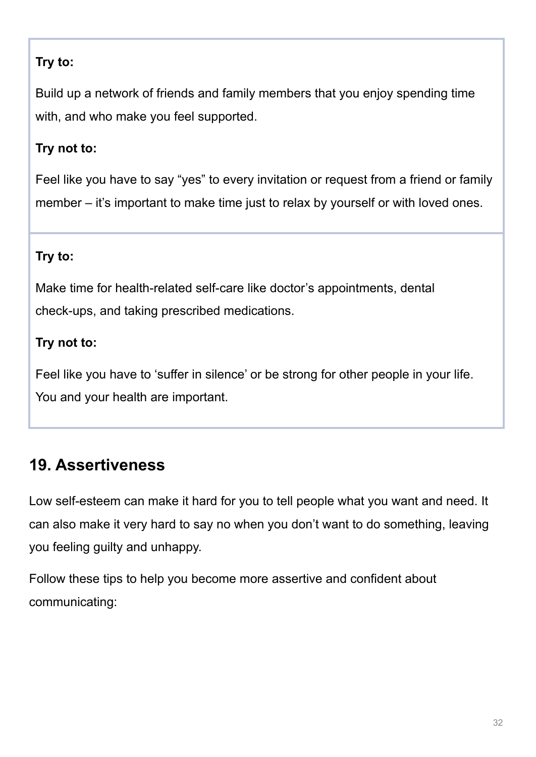## **Try to:**

Build up a network of friends and family members that you enjoy spending time with, and who make you feel supported.

### **Try not to:**

Feel like you have to say "yes" to every invitation or request from a friend or family member – it's important to make time just to relax by yourself or with loved ones.

### **Try to:**

Make time for health-related self-care like doctor's appointments, dental check-ups, and taking prescribed medications.

### **Try not to:**

Feel like you have to 'suffer in silence' or be strong for other people in your life. You and your health are important.

# **19. Assertiveness**

Low self-esteem can make it hard for you to tell people what you want and need. It can also make it very hard to say no when you don't want to do something, leaving you feeling guilty and unhappy.

Follow these tips to help you become more assertive and confident about communicating: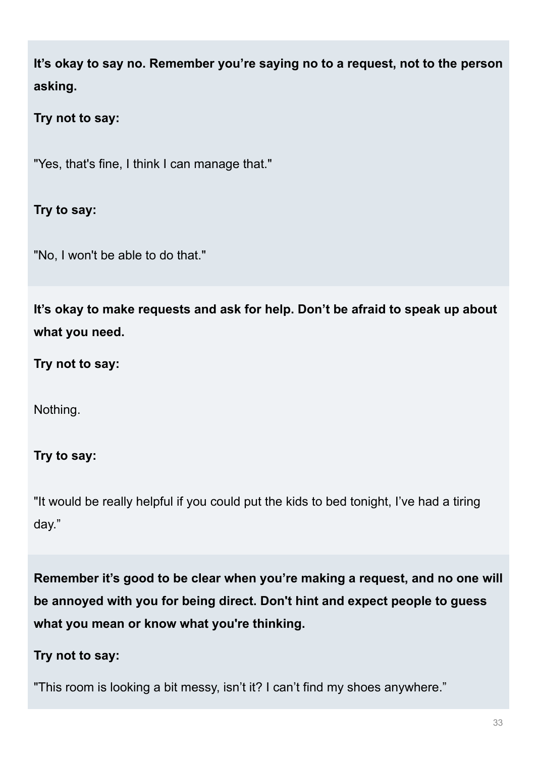**It's okay to say no. Remember you're saying no to a request, not to the person asking.**

**Try not to say:**

"Yes, that's fine, I think I can manage that."

**Try to say:**

"No, I won't be able to do that."

**It's okay to make requests and ask for help. Don't be afraid to speak up about what you need.**

**Try not to say:**

Nothing.

**Try to say:**

"It would be really helpful if you could put the kids to bed tonight, I've had a tiring day."

**Remember it's good to be clear when you're making a request, and no one will be annoyed with you for being direct. Don't hint and expect people to guess what you mean or know what you're thinking.**

#### **Try not to say:**

"This room is looking a bit messy, isn't it? I can't find my shoes anywhere."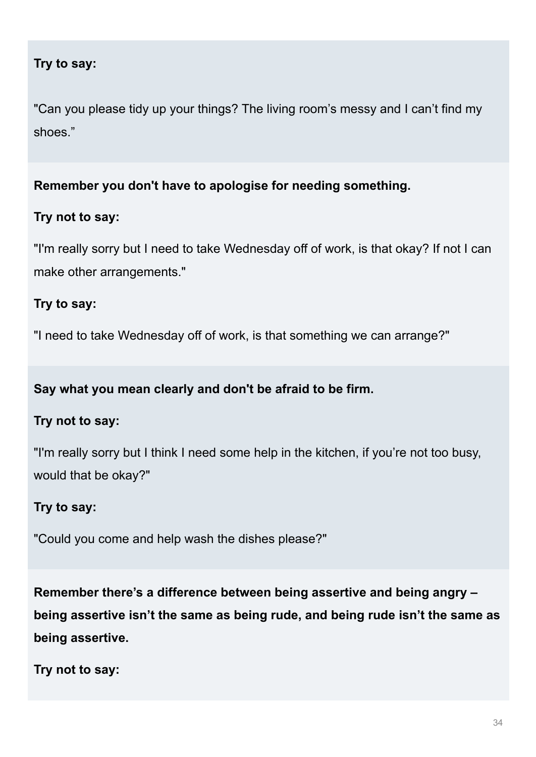#### **Try to say:**

"Can you please tidy up your things? The living room's messy and I can't find my shoes."

#### **Remember you don't have to apologise for needing something.**

#### **Try not to say:**

"I'm really sorry but I need to take Wednesday off of work, is that okay? If not I can make other arrangements."

#### **Try to say:**

"I need to take Wednesday off of work, is that something we can arrange?"

#### **Say what you mean clearly and don't be afraid to be firm.**

#### **Try not to say:**

"I'm really sorry but I think I need some help in the kitchen, if you're not too busy, would that be okay?"

#### **Try to say:**

"Could you come and help wash the dishes please?"

**Remember there's a difference between being assertive and being angry – being assertive isn't the same as being rude, and being rude isn't the same as being assertive.**

**Try not to say:**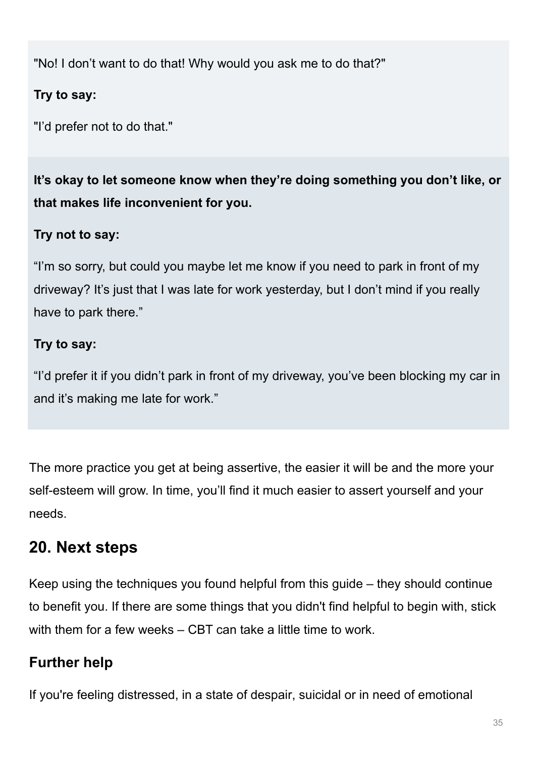"No! I don't want to do that! Why would you ask me to do that?"

### **Try to say:**

"I'd prefer not to do that."

**It's okay to let someone know when they're doing something you don't like, or that makes life inconvenient for you.**

## **Try not to say:**

"I'm so sorry, but could you maybe let me know if you need to park in front of my driveway? It's just that I was late for work yesterday, but I don't mind if you really have to park there."

### **Try to say:**

"I'd prefer it if you didn't park in front of my driveway, you've been blocking my car in and it's making me late for work."

The more practice you get at being assertive, the easier it will be and the more your self-esteem will grow. In time, you'll find it much easier to assert yourself and your needs.

# **20. Next steps**

Keep using the techniques you found helpful from this guide – they should continue to benefit you. If there are some things that you didn't find helpful to begin with, stick with them for a few weeks – CBT can take a little time to work.

# **Further help**

If you're feeling distressed, in a state of despair, suicidal or in need of emotional